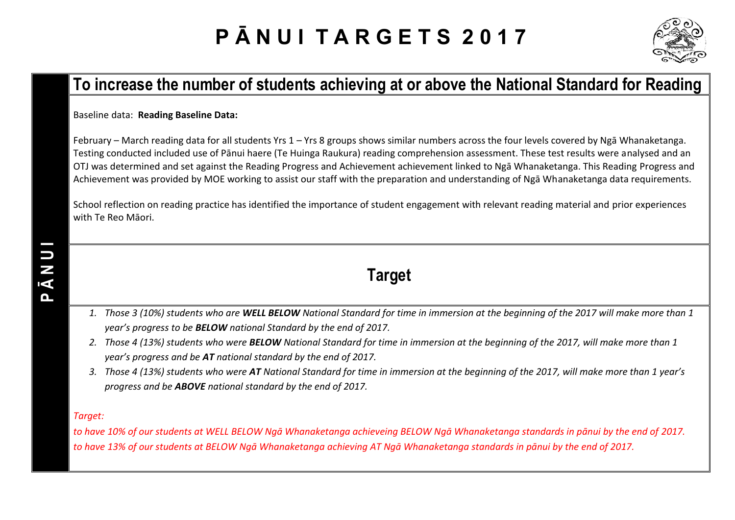# **P Ā N U I T A R G E T S 2 0 1 7**



#### **To increase the number of students achieving at or above the National Standard for Reading**

Baseline data: **Reading Baseline Data:**

February – March reading data for all students Yrs 1 – Yrs 8 groups shows similar numbers across the four levels covered by Ngā Whanaketanga. Testing conducted included use of Pānui haere (Te Huinga Raukura) reading comprehension assessment. These test results were analysed and an OTJ was determined and set against the Reading Progress and Achievement achievement linked to Ngā Whanaketanga. This Reading Progress and Achievement was provided by MOE working to assist our staff with the preparation and understanding of Ngā Whanaketanga data requirements.

School reflection on reading practice has identified the importance of student engagement with relevant reading material and prior experiences with Te Reo Māori.

### **Target**

- *1. Those 3 (10%) students who are WELL BELOW National Standard for time in immersion at the beginning of the 2017 will make more than 1 year's progress to be BELOW national Standard by the end of 2017.*
- *2. Those 4 (13%) students who were BELOW National Standard for time in immersion at the beginning of the 2017, will make more than 1 year's progress and be AT national standard by the end of 2017.*
- *3. Those 4 (13%) students who were AT National Standard for time in immersion at the beginning of the 2017, will make more than 1 year's progress and be ABOVE national standard by the end of 2017.*

#### *Target:*

*to have 10% of our students at WELL BELOW Ngā Whanaketanga achieveing BELOW Ngā Whanaketanga standards in pānui by the end of 2017. to have 13% of our students at BELOW Ngā Whanaketanga achieving AT Ngā Whanaketanga standards in pānui by the end of 2017.*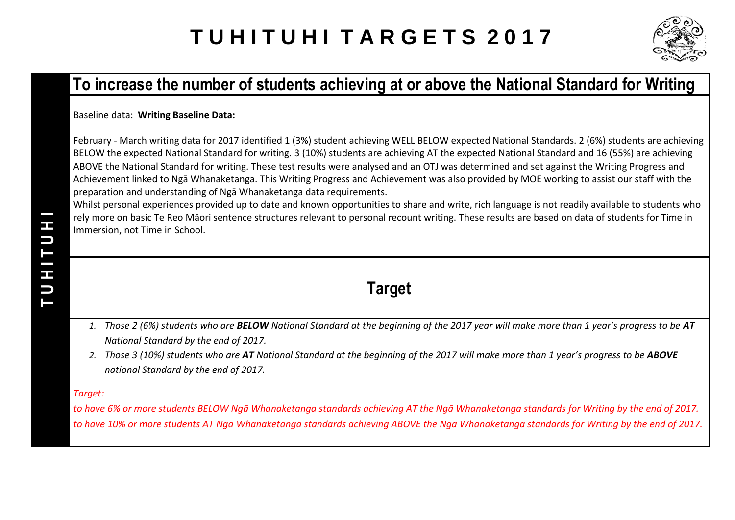## **T U H I T U H I T A R G E T S 2 0 1 7**



### **To increase the number of students achieving at or above the National Standard for Writing**

Baseline data: **Writing Baseline Data:**

February - March writing data for 2017 identified 1 (3%) student achieving WELL BELOW expected National Standards. 2 (6%) students are achieving BELOW the expected National Standard for writing. 3 (10%) students are achieving AT the expected National Standard and 16 (55%) are achieving ABOVE the National Standard for writing. These test results were analysed and an OTJ was determined and set against the Writing Progress and Achievement linked to Ngā Whanaketanga. This Writing Progress and Achievement was also provided by MOE working to assist our staff with the preparation and understanding of Ngā Whanaketanga data requirements.

Whilst personal experiences provided up to date and known opportunities to share and write, rich language is not readily available to students who rely more on basic Te Reo Māori sentence structures relevant to personal recount writing. These results are based on data of students for Time in Immersion, not Time in School.

- **Target**
- *1. Those 2 (6%) students who are BELOW National Standard at the beginning of the 2017 year will make more than 1 year's progress to be AT National Standard by the end of 2017.*
- *2. Those 3 (10%) students who are AT National Standard at the beginning of the 2017 will make more than 1 year's progress to be ABOVE national Standard by the end of 2017.*

#### *Target:*

*to have 6% or more students BELOW Ngā Whanaketanga standards achieving AT the Ngā Whanaketanga standards for Writing by the end of 2017. to have 10% or more students AT Ngā Whanaketanga standards achieving ABOVE the Ngā Whanaketanga standards for Writing by the end of 2017.*